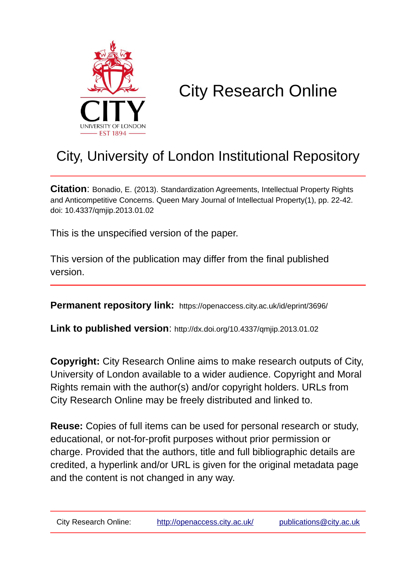

# City Research Online

# City, University of London Institutional Repository

**Citation**: Bonadio, E. (2013). Standardization Agreements, Intellectual Property Rights and Anticompetitive Concerns. Queen Mary Journal of Intellectual Property(1), pp. 22-42. doi: 10.4337/qmjip.2013.01.02

This is the unspecified version of the paper.

This version of the publication may differ from the final published version.

**Permanent repository link:** https://openaccess.city.ac.uk/id/eprint/3696/

**Link to published version**: http://dx.doi.org/10.4337/qmjip.2013.01.02

**Copyright:** City Research Online aims to make research outputs of City, University of London available to a wider audience. Copyright and Moral Rights remain with the author(s) and/or copyright holders. URLs from City Research Online may be freely distributed and linked to.

**Reuse:** Copies of full items can be used for personal research or study, educational, or not-for-profit purposes without prior permission or charge. Provided that the authors, title and full bibliographic details are credited, a hyperlink and/or URL is given for the original metadata page and the content is not changed in any way.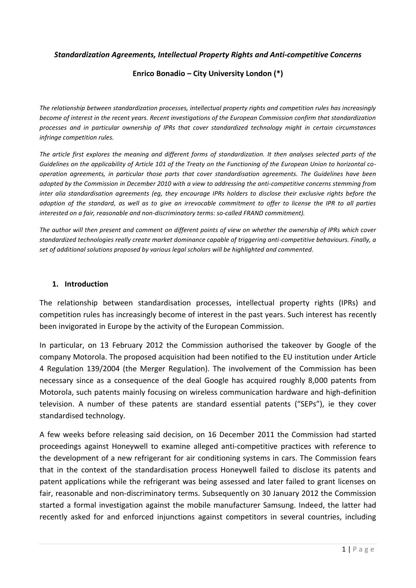#### *Standardization Agreements, Intellectual Property Rights and Anti-competitive Concerns*

#### **Enrico Bonadio – City University London (\*)**

*The relationship between standardization processes, intellectual property rights and competition rules has increasingly become of interest in the recent years. Recent investigations of the European Commission confirm that standardization processes and in particular ownership of IPRs that cover standardized technology might in certain circumstances infringe competition rules.*

*The article first explores the meaning and different forms of standardization. It then analyses selected parts of the Guidelines on the applicability of Article 101 of the Treaty on the Functioning of the European Union to horizontal cooperation agreements, in particular those parts that cover standardisation agreements. The Guidelines have been adopted by the Commission in December 2010 with a view to addressing the anti-competitive concerns stemming from inter alia standardisation agreements (eg, they encourage IPRs holders to disclose their exclusive rights before the adoption of the standard, as well as to give an irrevocable commitment to offer to license the IPR to all parties interested on a fair, reasonable and non-discriminatory terms: so-called FRAND commitment).*

*The author will then present and comment on different points of view on whether the ownership of IPRs which cover standardized technologies really create market dominance capable of triggering anti-competitive behaviours. Finally, a set of additional solutions proposed by various legal scholars will be highlighted and commented.*

#### **1. Introduction**

The relationship between standardisation processes, intellectual property rights (IPRs) and competition rules has increasingly become of interest in the past years. Such interest has recently been invigorated in Europe by the activity of the European Commission.

In particular, on 13 February 2012 the Commission authorised the takeover by Google of the company Motorola. The proposed acquisition had been notified to the EU institution under Article 4 Regulation 139/2004 (the Merger Regulation). The involvement of the Commission has been necessary since as a consequence of the deal Google has acquired roughly 8,000 patents from Motorola, such patents mainly focusing on wireless communication hardware and high-definition television. A number of these patents are standard essential patents ("SEPs"), ie they cover standardised technology.

A few weeks before releasing said decision, on 16 December 2011 the Commission had started proceedings against Honeywell to examine alleged anti-competitive practices with reference to the development of a new refrigerant for air conditioning systems in cars. The Commission fears that in the context of the standardisation process Honeywell failed to disclose its patents and patent applications while the refrigerant was being assessed and later failed to grant licenses on fair, reasonable and non-discriminatory terms. Subsequently on 30 January 2012 the Commission started a formal investigation against the mobile manufacturer Samsung. Indeed, the latter had recently asked for and enforced injunctions against competitors in several countries, including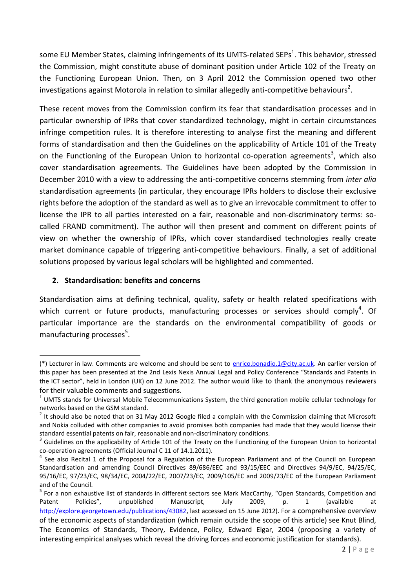some EU Member States, claiming infringements of its UMTS-related SEPs<sup>1</sup>. This behavior, stressed the Commission, might constitute abuse of dominant position under Article 102 of the Treaty on the Functioning European Union. Then, on 3 April 2012 the Commission opened two other investigations against Motorola in relation to similar allegedly anti-competitive behaviours<sup>2</sup>.

These recent moves from the Commission confirm its fear that standardisation processes and in particular ownership of IPRs that cover standardized technology, might in certain circumstances infringe competition rules. It is therefore interesting to analyse first the meaning and different forms of standardisation and then the Guidelines on the applicability of Article 101 of the Treaty on the Functioning of the European Union to horizontal co-operation agreements<sup>3</sup>, which also cover standardisation agreements. The Guidelines have been adopted by the Commission in December 2010 with a view to addressing the anti-competitive concerns stemming from *inter alia* standardisation agreements (in particular, they encourage IPRs holders to disclose their exclusive rights before the adoption of the standard as well as to give an irrevocable commitment to offer to license the IPR to all parties interested on a fair, reasonable and non-discriminatory terms: socalled FRAND commitment). The author will then present and comment on different points of view on whether the ownership of IPRs, which cover standardised technologies really create market dominance capable of triggering anti-competitive behaviours. Finally, a set of additional solutions proposed by various legal scholars will be highlighted and commented.

# **2. Standardisation: benefits and concerns**

**.** 

Standardisation aims at defining technical, quality, safety or health related specifications with which current or future products, manufacturing processes or services should comply<sup>4</sup>. Of particular importance are the standards on the environmental compatibility of goods or manufacturing processes<sup>5</sup>.

<sup>(\*)</sup> Lecturer in law. Comments are welcome and should be sent to [enrico.bonadio.1@city.ac.uk.](mailto:enrico.bonadio.1@city.ac.uk) An earlier version of this paper has been presented at the 2nd Lexis Nexis Annual Legal and Policy Conference "Standards and Patents in the ICT sector", held in London (UK) on 12 June 2012. The author would like to thank the anonymous reviewers for their valuable comments and suggestions.

 $1$  UMTS stands for Universal Mobile Telecommunications System, the third generation mobile cellular technology for networks based on the GSM standard.

 $2$  It should also be noted that on 31 May 2012 Google filed a complain with the Commission claiming that Microsoft and Nokia colluded with other companies to avoid promises both companies had made that they would license their standard essential patents on fair, reasonable and non-discriminatory conditions.

 $3$  Guidelines on the applicability of Article 101 of the Treaty on the Functioning of the European Union to horizontal co-operation agreements (Official Journal C 11 of 14.1.2011).

<sup>&</sup>lt;sup>4</sup> See also Recital 1 of the Proposal for a Regulation of the European Parliament and of the Council on European Standardisation and amending Council Directives 89/686/EEC and 93/15/EEC and Directives 94/9/EC, 94/25/EC, 95/16/EC, 97/23/EC, 98/34/EC, 2004/22/EC, 2007/23/EC, 2009/105/EC and 2009/23/EC of the European Parliament and of the Council.

<sup>&</sup>lt;sup>5</sup> For a non exhaustive list of standards in different sectors see Mark MacCarthy, "Open Standards, Competition and Patent Policies", unpublished Manuscript, July 2009, p. 1 (available at [http://explore.georgetown.edu/publications/43082,](http://explore.georgetown.edu/publications/43082) last accessed on 15 June 2012). For a comprehensive overview of the economic aspects of standardization (which remain outside the scope of this article) see Knut Blind, The Economics of Standards, Theory, Evidence, Policy, Edward Elgar, 2004 (proposing a variety of interesting empirical analyses which reveal the driving forces and economic justification for standards).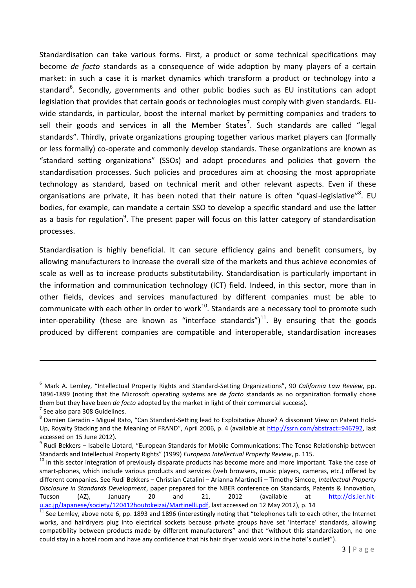Standardisation can take various forms. First, a product or some technical specifications may become *de facto* standards as a consequence of wide adoption by many players of a certain market: in such a case it is market dynamics which transform a product or technology into a standard<sup>6</sup>. Secondly, governments and other public bodies such as EU institutions can adopt legislation that provides that certain goods or technologies must comply with given standards. EUwide standards, in particular, boost the internal market by permitting companies and traders to sell their goods and services in all the Member States<sup>7</sup>. Such standards are called "legal standards". Thirdly, private organizations grouping together various market players can (formally or less formally) co-operate and commonly develop standards. These organizations are known as "standard setting organizations" (SSOs) and adopt procedures and policies that govern the standardisation processes. Such policies and procedures aim at choosing the most appropriate technology as standard, based on technical merit and other relevant aspects. Even if these organisations are private, it has been noted that their nature is often "quasi-legislative"<sup>8</sup>. EU bodies, for example, can mandate a certain SSO to develop a specific standard and use the latter as a basis for regulation<sup>9</sup>. The present paper will focus on this latter category of standardisation processes.

Standardisation is highly beneficial. It can secure efficiency gains and benefit consumers, by allowing manufacturers to increase the overall size of the markets and thus achieve economies of scale as well as to increase products substitutability. Standardisation is particularly important in the information and communication technology (ICT) field. Indeed, in this sector, more than in other fields, devices and services manufactured by different companies must be able to communicate with each other in order to work $^{10}$ . Standards are a necessary tool to promote such inter-operability (these are known as "interface standards") $^{11}$ . By ensuring that the goods produced by different companies are compatible and interoperable, standardisation increases

<sup>6</sup> Mark A. Lemley, "Intellectual Property Rights and Standard-Setting Organizations", 90 *California Law Review*, pp. 1896-1899 (noting that the Microsoft operating systems are *de facto* standards as no organization formally chose them but they have been *de facto* adopted by the market in light of their commercial success).

 $7$  See also para 308 Guidelines.

<sup>&</sup>lt;sup>8</sup> Damien Geradin - Miguel Rato, "Can Standard-Setting lead to Exploitative Abuse? A dissonant View on Patent Hold-Up, Royalty Stacking and the Meaning of FRAND", April 2006, p. 4 (available at [http://ssrn.com/abstract=946792,](http://ssrn.com/abstract=946792) last accessed on 15 June 2012).

<sup>9</sup> Rudi Bekkers – Isabelle Liotard, "European Standards for Mobile Communications: The Tense Relationship between Standards and Intellectual Property Rights" (1999) *European Intellectual Property Review*, p. 115.

 $10$  In this sector integration of previously disparate products has become more and more important. Take the case of smart-phones, which include various products and services (web browsers, music players, cameras, etc.) offered by different companies. See Rudi Bekkers – Christian Catalini – Arianna Martinelli – Timothy Simcoe, *Intellectual Property Disclosure in Standards Development*, paper prepared for the NBER conference on Standards, Patents & Innovation, Tucson (AZ), January 20 and 21, 2012 (available at [http://cis.ier.hit](http://cis.ier.hit-u.ac.jp/Japanese/society/120412houtokeizai/Martinelli.pdf)[u.ac.jp/Japanese/society/120412houtokeizai/Martinelli.pdf,](http://cis.ier.hit-u.ac.jp/Japanese/society/120412houtokeizai/Martinelli.pdf) last accessed on 12 May 2012), p. 14

 $\frac{11}{11}$  See Lemley, above note 6, pp. 1893 and 1896 (interestingly noting that "telephones talk to each other, the Internet works, and hairdryers plug into electrical sockets because private groups have set 'interface' standards, allowing compatibility between products made by different manufacturers" and that "without this standardization, no one could stay in a hotel room and have any confidence that his hair dryer would work in the hotel's outlet").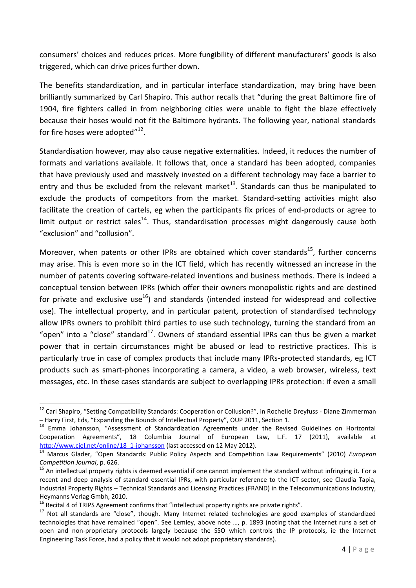consumers' choices and reduces prices. More fungibility of different manufacturers' goods is also triggered, which can drive prices further down.

The benefits standardization, and in particular interface standardization, may bring have been brilliantly summarized by Carl Shapiro. This author recalls that "during the great Baltimore fire of 1904, fire fighters called in from neighboring cities were unable to fight the blaze effectively because their hoses would not fit the Baltimore hydrants. The following year, national standards for fire hoses were adopted $^{\prime\prime}$ <sup>12</sup>.

Standardisation however, may also cause negative externalities. Indeed, it reduces the number of formats and variations available. It follows that, once a standard has been adopted, companies that have previously used and massively invested on a different technology may face a barrier to entry and thus be excluded from the relevant market<sup>13</sup>. Standards can thus be manipulated to exclude the products of competitors from the market. Standard-setting activities might also facilitate the creation of cartels, eg when the participants fix prices of end-products or agree to limit output or restrict sales<sup>14</sup>. Thus, standardisation processes might dangerously cause both "exclusion" and "collusion".

Moreover, when patents or other IPRs are obtained which cover standards<sup>15</sup>, further concerns may arise. This is even more so in the ICT field, which has recently witnessed an increase in the number of patents covering software-related inventions and business methods. There is indeed a conceptual tension between IPRs (which offer their owners monopolistic rights and are destined for private and exclusive use<sup>16</sup>) and standards (intended instead for widespread and collective use). The intellectual property, and in particular patent, protection of standardised technology allow IPRs owners to prohibit third parties to use such technology, turning the standard from an "open" into a "close" standard<sup>17</sup>. Owners of standard essential IPRs can thus be given a market power that in certain circumstances might be abused or lead to restrictive practices. This is particularly true in case of complex products that include many IPRs-protected standards, eg ICT products such as smart-phones incorporating a camera, a video, a web browser, wireless, text messages, etc. In these cases standards are subject to overlapping IPRs protection: if even a small

<sup>&</sup>lt;sup>12</sup> Carl Shapiro, "Setting Compatibility Standards: Cooperation or Collusion?", in Rochelle Dreyfuss - Diane Zimmerman – Harry First, Eds, "Expanding the Bounds of Intellectual Property", OUP 2011, Section 1.

<sup>&</sup>lt;sup>13</sup> Emma Johansson, "Assessment of Standardization Agreements under the Revised Guidelines on Horizontal Cooperation Agreements", 18 Columbia Journal of European Law, L.F. 17 (2011), available [http://www.cjel.net/online/18\\_1-johansson](http://www.cjel.net/online/18_1-johansson) (last accessed on 12 May 2012).

<sup>14</sup> Marcus Glader, "Open Standards: Public Policy Aspects and Competition Law Requirements" (2010) *European Competition Journal*, p. 626.

 $15$  An intellectual property rights is deemed essential if one cannot implement the standard without infringing it. For a recent and deep analysis of standard essential IPRs, with particular reference to the ICT sector, see Claudia Tapia, Industrial Property Rights – Technical Standards and Licensing Practices (FRAND) in the Telecommunications Industry, Heymanns Verlag Gmbh, 2010.

<sup>&</sup>lt;sup>16</sup> Recital 4 of TRIPS Agreement confirms that "intellectual property rights are private rights".

<sup>&</sup>lt;sup>17</sup> Not all standards are "close", though. Many Internet related technologies are good examples of standardized technologies that have remained "open". See Lemley, above note …, p. 1893 (noting that the Internet runs a set of open and non-proprietary protocols largely because the SSO which controls the IP protocols, ie the Internet Engineering Task Force, had a policy that it would not adopt proprietary standards).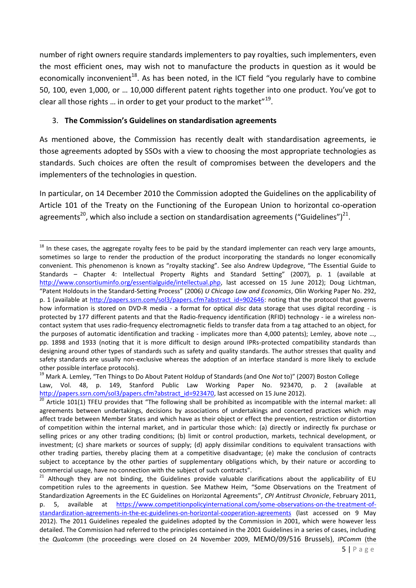number of right owners require standards implementers to pay royalties, such implementers, even the most efficient ones, may wish not to manufacture the products in question as it would be economically inconvenient<sup>18</sup>. As has been noted, in the ICT field "you regularly have to combine 50, 100, even 1,000, or … 10,000 different patent rights together into one product. You've got to clear all those rights ... in order to get your product to the market"<sup>19</sup>.

# 3. **The Commission's Guidelines on standardisation agreements**

As mentioned above, the Commission has recently dealt with standardisation agreements, ie those agreements adopted by SSOs with a view to choosing the most appropriate technologies as standards. Such choices are often the result of compromises between the developers and the implementers of the technologies in question.

In particular, on 14 December 2010 the Commission adopted the Guidelines on the applicability of Article 101 of the Treaty on the Functioning of the European Union to horizontal co-operation agreements<sup>20</sup>, which also include a section on standardisation agreements ("Guidelines")<sup>21</sup>.

<sup>1</sup>  $18$  In these cases, the aggregate royalty fees to be paid by the standard implementer can reach very large amounts, sometimes so large to render the production of the product incorporating the standards no longer economically convenient. This phenomenon is known as "royalty stacking". See also Andrew Updegrove, "The Essential Guide to Standards – Chapter 4: Intellectual Property Rights and Standard Setting" (2007), p. 1 (available at [http://www.consortiuminfo.org/essentialguide/intellectual.php,](http://www.consortiuminfo.org/essentialguide/intellectual.php) last accessed on 15 June 2012); Doug Lichtman, "Patent Holdouts in the Standard-Setting Process" (2006) *U Chicago Law and Economics*, Olin Working Paper No. 292, p. 1 (available at [http://papers.ssrn.com/sol3/papers.cfm?abstract\\_id=902646:](http://papers.ssrn.com/sol3/papers.cfm?abstract_id=902646) noting that the protocol that governs how information is stored on DVD-R media - a format for optical *disc* data storage that uses digital recording - is protected by 177 different patents and that the Radio-frequency identification (RFID) technology - ie a wireless noncontact system that uses radio-frequency electromagnetic fields to transfer data from a tag attached to an object, for the purposes of automatic identification and tracking - implicates more than 4,000 patents); Lemley, above note ..., pp. 1898 and 1933 (noting that it is more difficult to design around IPRs-protected compatibility standards than designing around other types of standards such as safety and quality standards. The author stresses that quality and safety standards are usually non-exclusive whereas the adoption of an interface standard is more likely to exclude other possible interface protocols).

<sup>19</sup> Mark A. Lemley, "Ten Things to Do About Patent Holdup of Standards (and One *Not* to)" (2007) Boston College Law, Vol. 48, p. 149, Stanford Public Law Working Paper No. 923470, p. 2 (available at [http://papers.ssrn.com/sol3/papers.cfm?abstract\\_id=923470,](http://papers.ssrn.com/sol3/papers.cfm?abstract_id=923470) last accessed on 15 June 2012).

 $20$  Article 101(1) TFEU provides that "The following shall be prohibited as incompatible with the internal market: all agreements between undertakings, decisions by associations of undertakings and concerted practices which may affect trade between Member States and which have as their object or effect the prevention, restriction or distortion of competition within the internal market, and in particular those which: (a) directly or indirectly fix purchase or selling prices or any other trading conditions; (b) limit or control production, markets, technical development, or investment; (c) share markets or sources of supply; (d) apply dissimilar conditions to equivalent transactions with other trading parties, thereby placing them at a competitive disadvantage; (e) make the conclusion of contracts subject to acceptance by the other parties of supplementary obligations which, by their nature or according to commercial usage, have no connection with the subject of such contracts".

 $21$  Although they are not binding, the Guidelines provide valuable clarifications about the applicability of EU competition rules to the agreements in question. See Mathew Heim, "Some Observations on the Treatment of Standardization Agreements in the EC Guidelines on Horizontal Agreements", *CPI Antitrust Chronicle*, February 2011, p. 5, available at [https://www.competitionpolicyinternational.com/some-observations-on-the-treatment-of](https://www.competitionpolicyinternational.com/some-observations-on-the-treatment-of-standardization-agreements-in-the-ec-guidelines-on-horizontal-cooperation-agreements)[standardization-agreements-in-the-ec-guidelines-on-horizontal-cooperation-agreements](https://www.competitionpolicyinternational.com/some-observations-on-the-treatment-of-standardization-agreements-in-the-ec-guidelines-on-horizontal-cooperation-agreements) (last accessed on 9 May 2012). The 2011 Guidelines repealed the guidelines adopted by the Commission in 2001, which were however less detailed. The Commission had referred to the principles contained in the 2001 Guidelines in a series of cases, including the *Qualcomm* (the proceedings were closed on 24 November 2009, MEMO/09/516 Brussels), *IPComm* (the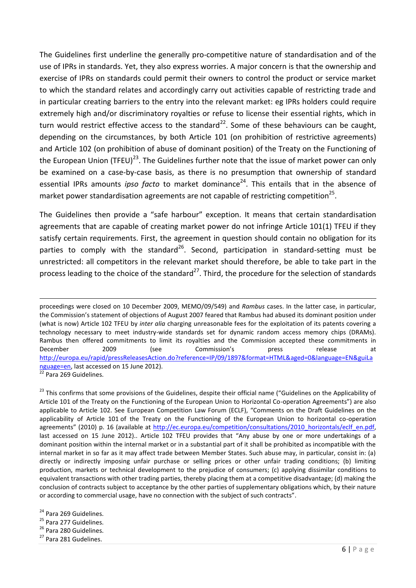The Guidelines first underline the generally pro-competitive nature of standardisation and of the use of IPRs in standards. Yet, they also express worries. A major concern is that the ownership and exercise of IPRs on standards could permit their owners to control the product or service market to which the standard relates and accordingly carry out activities capable of restricting trade and in particular creating barriers to the entry into the relevant market: eg IPRs holders could require extremely high and/or discriminatory royalties or refuse to license their essential rights, which in turn would restrict effective access to the standard<sup>22</sup>. Some of these behaviours can be caught, depending on the circumstances, by both Article 101 (on prohibition of restrictive agreements) and Article 102 (on prohibition of abuse of dominant position) of the Treaty on the Functioning of the European Union (TFEU)<sup>23</sup>. The Guidelines further note that the issue of market power can only be examined on a case-by-case basis, as there is no presumption that ownership of standard essential IPRs amounts *ipso facto* to market dominance<sup>24</sup>. This entails that in the absence of market power standardisation agreements are not capable of restricting competition<sup>25</sup>.

The Guidelines then provide a "safe harbour" exception. It means that certain standardisation agreements that are capable of creating market power do not infringe Article 101(1) TFEU if they satisfy certain requirements. First, the agreement in question should contain no obligation for its parties to comply with the standard<sup>26</sup>. Second, participation in standard-setting must be unrestricted: all competitors in the relevant market should therefore, be able to take part in the process leading to the choice of the standard $^{27}$ . Third, the procedure for the selection of standards

proceedings were closed on 10 December 2009, MEMO/09/549) and *Rambus* cases. In the latter case, in particular, the Commission's statement of objections of August 2007 feared that Rambus had abused its dominant position under (what is now) Article 102 TFEU by *inter alia* charging unreasonable fees for the exploitation of its patents covering a technology necessary to meet industry-wide standards set for dynamic random access memory chips (DRAMs). Rambus then offered commitments to limit its royalties and the Commission accepted these commitments in December 2009 (see Commission's press release at [http://europa.eu/rapid/pressReleasesAction.do?reference=IP/09/1897&format=HTML&aged=0&language=EN&guiLa](http://europa.eu/rapid/pressReleasesAction.do?reference=IP/09/1897&format=HTML&aged=0&language=EN&guiLanguage=en) [nguage=en,](http://europa.eu/rapid/pressReleasesAction.do?reference=IP/09/1897&format=HTML&aged=0&language=EN&guiLanguage=en) last accessed on 15 June 2012). <sup>22</sup> Para 269 Guidelines.

<sup>&</sup>lt;sup>23</sup> This confirms that some provisions of the Guidelines, despite their official name ("Guidelines on the Applicability of Article 101 of the Treaty on the Functioning of the European Union to Horizontal Co-operation Agreements") are also applicable to Article 102. See European Competition Law Forum (ECLF), "Comments on the Draft Guidelines on the applicability of Article 101 of the Treaty on the Functioning of the European Union to horizontal co-operation agreements" (2010) p. 16 (available at [http://ec.europa.eu/competition/consultations/2010\\_horizontals/eclf\\_en.pdf,](http://ec.europa.eu/competition/consultations/2010_horizontals/eclf_en.pdf) last accessed on 15 June 2012).. Article 102 TFEU provides that "Any abuse by one or more undertakings of a dominant position within the internal market or in a substantial part of it shall be prohibited as incompatible with the internal market in so far as it may affect trade between Member States. Such abuse may, in particular, consist in: (a) directly or indirectly imposing unfair purchase or selling prices or other unfair trading conditions; (b) limiting production, markets or technical development to the prejudice of consumers; (c) applying dissimilar conditions to equivalent transactions with other trading parties, thereby placing them at a competitive disadvantage; (d) making the conclusion of contracts subject to acceptance by the other parties of supplementary obligations which, by their nature or according to commercial usage, have no connection with the subject of such contracts".

<sup>&</sup>lt;sup>24</sup> Para 269 Guidelines.

<sup>&</sup>lt;sup>25</sup> Para 277 Guidelines.

<sup>&</sup>lt;sup>26</sup> Para 280 Guidelines.

<sup>&</sup>lt;sup>27</sup> Para 281 Gudelines.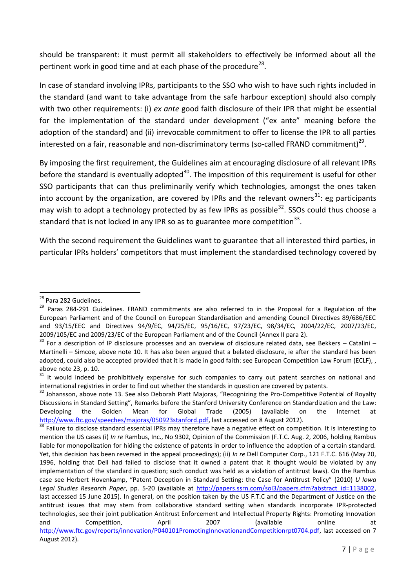should be transparent: it must permit all stakeholders to effectively be informed about all the pertinent work in good time and at each phase of the procedure<sup>28</sup>.

In case of standard involving IPRs, participants to the SSO who wish to have such rights included in the standard (and want to take advantage from the safe harbour exception) should also comply with two other requirements: (i) *ex ante* good faith disclosure of their IPR that might be essential for the implementation of the standard under development ("ex ante" meaning before the adoption of the standard) and (ii) irrevocable commitment to offer to license the IPR to all parties interested on a fair, reasonable and non-discriminatory terms (so-called FRAND commitment)<sup>29</sup>.

By imposing the first requirement, the Guidelines aim at encouraging disclosure of all relevant IPRs before the standard is eventually adopted<sup>30</sup>. The imposition of this requirement is useful for other SSO participants that can thus preliminarily verify which technologies, amongst the ones taken into account by the organization, are covered by IPRs and the relevant owners<sup>31</sup>: eg participants may wish to adopt a technology protected by as few IPRs as possible<sup>32</sup>. SSOs could thus choose a standard that is not locked in any IPR so as to guarantee more competition<sup>33</sup>.

With the second requirement the Guidelines want to guarantee that all interested third parties, in particular IPRs holders' competitors that must implement the standardised technology covered by

**<sup>.</sup>** <sup>28</sup> Para 282 Gudelines.

<sup>&</sup>lt;sup>29</sup> Paras 284-291 Guidelines. FRAND commitments are also referred to in the Proposal for a Regulation of the European Parliament and of the Council on European Standardisation and amending Council Directives 89/686/EEC and 93/15/EEC and Directives 94/9/EC, 94/25/EC, 95/16/EC, 97/23/EC, 98/34/EC, 2004/22/EC, 2007/23/EC, 2009/105/EC and 2009/23/EC of the European Parliament and of the Council (Annex II para 2).

 $30$  For a description of IP disclosure processes and an overview of disclosure related data, see Bekkers – Catalini – Martinelli – Simcoe, above note 10. It has also been argued that a belated disclosure, ie after the standard has been adopted, could also be accepted provided that it is made in good faith: see European Competition Law Forum (ECLF), above note 23, p. 10.

 $31$  It would indeed be prohibitively expensive for such companies to carry out patent searches on national and international registries in order to find out whether the standards in question are covered by patents.

<sup>&</sup>lt;sup>32</sup> Johansson, above note 13. See also Deborah Platt Majoras, "Recognizing the Pro-Competitive Potential of Royalty Discussions in Standard Setting", Remarks before the Stanford University Conference on Standardization and the Law: Developing the Golden Mean for Global Trade (2005) (available on the Internet at [http://www.ftc.gov/speeches/majoras/050923stanford.pdf,](http://www.ftc.gov/speeches/majoras/050923stanford.pdf) last accessed on 8 August 2012).

<sup>&</sup>lt;sup>33</sup> Failure to disclose standard essential IPRs may therefore have a negative effect on competition. It is interesting to mention the US cases (i) *In re* Rambus, Inc., No 9302, Opinion of the Commission (F.T.C. Aug. 2, 2006, holding Rambus liable for monopolization for hiding the existence of patents in order to influence the adoption of a certain standard. Yet, this decision has been reversed in the appeal proceedings); (ii) *In re* Dell Computer Corp., 121 F.T.C. 616 (May 20, 1996, holding that Dell had failed to disclose that it owned a patent that it thought would be violated by any implementation of the standard in question; such conduct was held as a violation of antitrust laws). On the Rambus case see Herbert Hovenkamp, "Patent Deception in Standard Setting: the Case for Antitrust Policy" (2010) *U Iowa Legal Studies Research Paper*, pp. 5-20 (available at [http://papers.ssrn.com/sol3/papers.cfm?abstract\\_id=1138002,](http://papers.ssrn.com/sol3/papers.cfm?abstract_id=1138002) last accessed 15 June 2015). In general, on the position taken by the US F.T.C and the Department of Justice on the antitrust issues that may stem from collaborative standard setting when standards incorporate IPR-protected technologies, see their joint publication Antitrust Enforcement and Intellectual Property Rights: Promoting Innovation and Competition, April 2007 (available online at [http://www.ftc.gov/reports/innovation/P040101PromotingInnovationandCompetitionrpt0704.pdf,](http://www.ftc.gov/reports/innovation/P040101PromotingInnovationandCompetitionrpt0704.pdf) last accessed on 7 August 2012).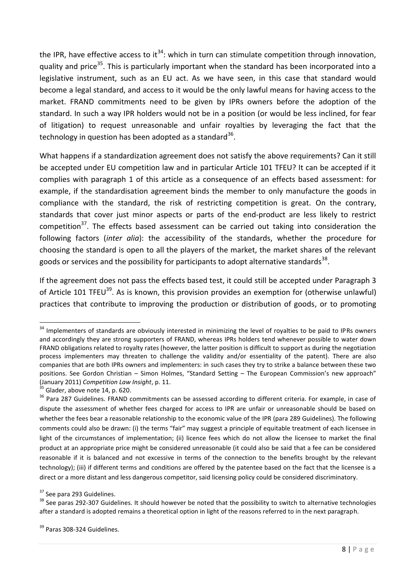the IPR, have effective access to it<sup>34</sup>: which in turn can stimulate competition through innovation, quality and price<sup>35</sup>. This is particularly important when the standard has been incorporated into a legislative instrument, such as an EU act. As we have seen, in this case that standard would become a legal standard, and access to it would be the only lawful means for having access to the market. FRAND commitments need to be given by IPRs owners before the adoption of the standard. In such a way IPR holders would not be in a position (or would be less inclined, for fear of litigation) to request unreasonable and unfair royalties by leveraging the fact that the technology in question has been adopted as a standard<sup>36</sup>.

What happens if a standardization agreement does not satisfy the above requirements? Can it still be accepted under EU competition law and in particular Article 101 TFEU? It can be accepted if it complies with paragraph 1 of this article as a consequence of an effects based assessment: for example, if the standardisation agreement binds the member to only manufacture the goods in compliance with the standard, the risk of restricting competition is great. On the contrary, standards that cover just minor aspects or parts of the end-product are less likely to restrict competition<sup>37</sup>. The effects based assessment can be carried out taking into consideration the following factors (*inter alia*): the accessibility of the standards, whether the procedure for choosing the standard is open to all the players of the market, the market shares of the relevant goods or services and the possibility for participants to adopt alternative standards<sup>38</sup>.

If the agreement does not pass the effects based test, it could still be accepted under Paragraph 3 of Article 101 TFEU<sup>39</sup>. As is known, this provision provides an exemption for (otherwise unlawful) practices that contribute to improving the production or distribution of goods, or to promoting

<sup>37</sup> See para 293 Guidelines.

**<sup>.</sup>** <sup>34</sup> Implementers of standards are obviously interested in minimizing the level of royalties to be paid to IPRs owners and accordingly they are strong supporters of FRAND, whereas IPRs holders tend whenever possible to water down FRAND obligations related to royalty rates (however, the latter position is difficult to support as during the negotiation process implementers may threaten to challenge the validity and/or essentiality of the patent). There are also companies that are both IPRs owners and implementers: in such cases they try to strike a balance between these two positions. See Gordon Christian – Simon Holmes, "Standard Setting – The European Commission's new approach" (January 2011) *Competition Law Insight*, p. 11.

Glader, above note 14, p. 620.

<sup>&</sup>lt;sup>36</sup> Para 287 Guidelines. FRAND commitments can be assessed according to different criteria. For example, in case of dispute the assessment of whether fees charged for access to IPR are unfair or unreasonable should be based on whether the fees bear a reasonable relationship to the economic value of the IPR (para 289 Guidelines). The following comments could also be drawn: (i) the terms "fair" may suggest a principle of equitable treatment of each licensee in light of the circumstances of implementation; (ii) licence fees which do not allow the licensee to market the final product at an appropriate price might be considered unreasonable (it could also be said that a fee can be considered reasonable if it is balanced and not excessive in terms of the connection to the benefits brought by the relevant technology); (iii) if different terms and conditions are offered by the patentee based on the fact that the licensee is a direct or a more distant and less dangerous competitor, said licensing policy could be considered discriminatory.

<sup>&</sup>lt;sup>38</sup> See paras 292-307 Guidelines. It should however be noted that the possibility to switch to alternative technologies after a standard is adopted remains a theoretical option in light of the reasons referred to in the next paragraph.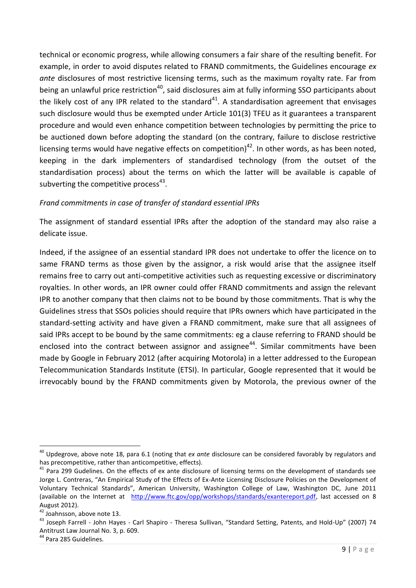technical or economic progress, while allowing consumers a fair share of the resulting benefit. For example, in order to avoid disputes related to FRAND commitments, the Guidelines encourage *ex ante* disclosures of most restrictive licensing terms, such as the maximum royalty rate. Far from being an unlawful price restriction<sup>40</sup>, said disclosures aim at fully informing SSO participants about the likely cost of any IPR related to the standard<sup>41</sup>. A standardisation agreement that envisages such disclosure would thus be exempted under Article 101(3) TFEU as it guarantees a transparent procedure and would even enhance competition between technologies by permitting the price to be auctioned down before adopting the standard (on the contrary, failure to disclose restrictive licensing terms would have negative effects on competition)<sup>42</sup>. In other words, as has been noted, keeping in the dark implementers of standardised technology (from the outset of the standardisation process) about the terms on which the latter will be available is capable of subverting the competitive process $43$ .

# *Frand commitments in case of transfer of standard essential IPRs*

The assignment of standard essential IPRs after the adoption of the standard may also raise a delicate issue.

Indeed, if the assignee of an essential standard IPR does not undertake to offer the licence on to same FRAND terms as those given by the assignor, a risk would arise that the assignee itself remains free to carry out anti-competitive activities such as requesting excessive or discriminatory royalties. In other words, an IPR owner could offer FRAND commitments and assign the relevant IPR to another company that then claims not to be bound by those commitments. That is why the Guidelines stress that SSOs policies should require that IPRs owners which have participated in the standard-setting activity and have given a FRAND commitment, make sure that all assignees of said IPRs accept to be bound by the same commitments: eg a clause referring to FRAND should be enclosed into the contract between assignor and assignee<sup>44</sup>. Similar commitments have been made by Google in February 2012 (after acquiring Motorola) in a letter addressed to the European Telecommunication Standards Institute (ETSI). In particular, Google represented that it would be irrevocably bound by the FRAND commitments given by Motorola, the previous owner of the

<sup>40</sup> Updegrove, above note 18, para 6.1 (noting that *ex ante* disclosure can be considered favorably by regulators and has precompetitive, rather than anticompetitive, effects).

 $41$  Para 299 Gudelines. On the effects of ex ante disclosure of licensing terms on the development of standards see Jorge L. Contreras, "An Empirical Study of the Effects of Ex-Ante Licensing Disclosure Policies on the Development of Voluntary Technical Standards", American University, Washington College of Law, Washington DC, June 2011 (available on the Internet at [http://www.ftc.gov/opp/workshops/standards/exantereport.pdf,](http://www.ftc.gov/opp/workshops/standards/exantereport.pdf) last accessed on 8 August 2012).

<sup>&</sup>lt;sup>42</sup> Joahnsson, above note 13.

<sup>&</sup>lt;sup>43</sup> Joseph Farrell - John Hayes - Carl Shapiro - Theresa Sullivan, "Standard Setting, Patents, and Hold-Up" (2007) 74 Antitrust Law Journal No. 3, p. 609.

<sup>&</sup>lt;sup>44</sup> Para 285 Guidelines.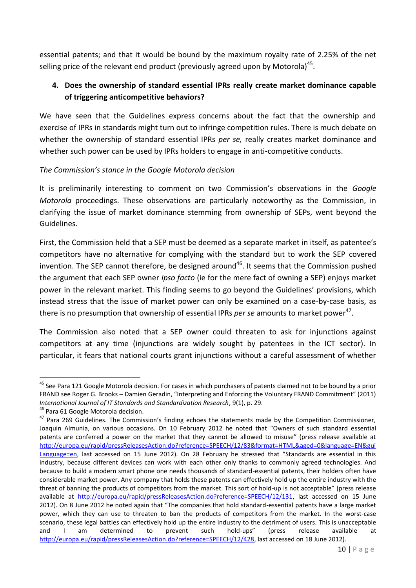essential patents; and that it would be bound by the maximum royalty rate of 2.25% of the net selling price of the relevant end product (previously agreed upon by Motorola)<sup>45</sup>.

# **4. Does the ownership of standard essential IPRs really create market dominance capable of triggering anticompetitive behaviors?**

We have seen that the Guidelines express concerns about the fact that the ownership and exercise of IPRs in standards might turn out to infringe competition rules. There is much debate on whether the ownership of standard essential IPRs *per se,* really creates market dominance and whether such power can be used by IPRs holders to engage in anti-competitive conducts.

# *The Commission's stance in the Google Motorola decision*

It is preliminarily interesting to comment on two Commission's observations in the *Google Motorola* proceedings. These observations are particularly noteworthy as the Commission, in clarifying the issue of market dominance stemming from ownership of SEPs, went beyond the Guidelines.

First, the Commission held that a SEP must be deemed as a separate market in itself, as patentee's competitors have no alternative for complying with the standard but to work the SEP covered invention. The SEP cannot therefore, be designed around<sup>46</sup>. It seems that the Commission pushed the argument that each SEP owner *ipso facto* (ie for the mere fact of owning a SEP) enjoys market power in the relevant market. This finding seems to go beyond the Guidelines' provisions, which instead stress that the issue of market power can only be examined on a case-by-case basis, as there is no presumption that ownership of essential IPRs *per se* amounts to market power<sup>47</sup>.

The Commission also noted that a SEP owner could threaten to ask for injunctions against competitors at any time (injunctions are widely sought by patentees in the ICT sector). In particular, it fears that national courts grant injunctions without a careful assessment of whether

**<sup>.</sup>** <sup>45</sup> See Para 121 Google Motorola decision. For cases in which purchasers of patents claimed not to be bound by a prior FRAND see Roger G. Brooks – Damien Geradin, "Interpreting and Enforcing the Voluntary FRAND Commitment" (2011) *International Journal of IT Standards and Standardization Research*, 9(1), p. 29.

<sup>&</sup>lt;sup>46</sup> Para 61 Google Motorola decision.

<sup>&</sup>lt;sup>47</sup> Para 269 Guidelines. The Commission's finding echoes the statements made by the Competition Commissioner, Joaquin Almunia, on various occasions. On 10 February 2012 he noted that "Owners of such standard essential patents are conferred a power on the market that they cannot be allowed to misuse" (press release available at [http://europa.eu/rapid/pressReleasesAction.do?reference=SPEECH/12/83&format=HTML&aged=0&language=EN&gui](http://europa.eu/rapid/pressReleasesAction.do?reference=SPEECH/12/83&format=HTML&aged=0&language=EN&guiLanguage=en) [Language=en](http://europa.eu/rapid/pressReleasesAction.do?reference=SPEECH/12/83&format=HTML&aged=0&language=EN&guiLanguage=en), last accessed on 15 June 2012). On 28 February he stressed that "Standards are essential in this industry, because different devices can work with each other only thanks to commonly agreed technologies. And because to build a modern smart phone one needs thousands of standard-essential patents, their holders often have considerable market power. Any company that holds these patents can effectively hold up the entire industry with the threat of banning the products of competitors from the market. This sort of hold-up is not acceptable" (press release available at [http://europa.eu/rapid/pressReleasesAction.do?reference=SPEECH/12/131,](http://europa.eu/rapid/pressReleasesAction.do?reference=SPEECH/12/131) last accessed on 15 June 2012). On 8 June 2012 he noted again that "The companies that hold standard-essential patents have a large market power, which they can use to threaten to ban the products of competitors from the market. In the worst-case scenario, these legal battles can effectively hold up the entire industry to the detriment of users. This is unacceptable and I am determined to prevent such hold-ups" (press release available at [http://europa.eu/rapid/pressReleasesAction.do?reference=SPEECH/12/428,](http://europa.eu/rapid/pressReleasesAction.do?reference=SPEECH/12/428) last accessed on 18 June 2012).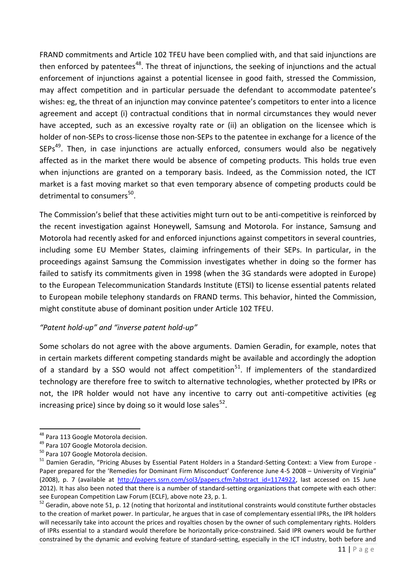FRAND commitments and Article 102 TFEU have been complied with, and that said injunctions are then enforced by patentees<sup>48</sup>. The threat of injunctions, the seeking of injunctions and the actual enforcement of injunctions against a potential licensee in good faith, stressed the Commission, may affect competition and in particular persuade the defendant to accommodate patentee's wishes: eg, the threat of an injunction may convince patentee's competitors to enter into a licence agreement and accept (i) contractual conditions that in normal circumstances they would never have accepted, such as an excessive royalty rate or (ii) an obligation on the licensee which is holder of non-SEPs to cross-license those non-SEPs to the patentee in exchange for a licence of the SEPs<sup>49</sup>. Then, in case injunctions are actually enforced, consumers would also be negatively affected as in the market there would be absence of competing products. This holds true even when injunctions are granted on a temporary basis. Indeed, as the Commission noted, the ICT market is a fast moving market so that even temporary absence of competing products could be detrimental to consumers<sup>50</sup>.

The Commission's belief that these activities might turn out to be anti-competitive is reinforced by the recent investigation against Honeywell, Samsung and Motorola. For instance, Samsung and Motorola had recently asked for and enforced injunctions against competitors in several countries, including some EU Member States, claiming infringements of their SEPs. In particular, in the proceedings against Samsung the Commission investigates whether in doing so the former has failed to satisfy its commitments given in 1998 (when the 3G standards were adopted in Europe) to the European Telecommunication Standards Institute (ETSI) to license essential patents related to European mobile telephony standards on FRAND terms. This behavior, hinted the Commission, might constitute abuse of dominant position under Article 102 TFEU.

# *"Patent hold-up" and "inverse patent hold-up"*

Some scholars do not agree with the above arguments. Damien Geradin, for example, notes that in certain markets different competing standards might be available and accordingly the adoption of a standard by a SSO would not affect competition<sup>51</sup>. If implementers of the standardized technology are therefore free to switch to alternative technologies, whether protected by IPRs or not, the IPR holder would not have any incentive to carry out anti-competitive activities (eg increasing price) since by doing so it would lose sales $^{52}$ .

<sup>&</sup>lt;sup>48</sup> Para 113 Google Motorola decision.

<sup>&</sup>lt;sup>49</sup> Para 107 Google Motorola decision.

<sup>&</sup>lt;sup>50</sup> Para 107 Google Motorola decision.

<sup>&</sup>lt;sup>51</sup> Damien Geradin, "Pricing Abuses by Essential Patent Holders in a Standard-Setting Context: a View from Europe -Paper prepared for the 'Remedies for Dominant Firm Misconduct' Conference June 4-5 2008 – University of Virginia" (2008), p. 7 (available at http://papers.ssrn.com/sol3/papers.cfm?abstract id=1174922, last accessed on 15 June 2012). It has also been noted that there is a number of standard-setting organizations that compete with each other: see European Competition Law Forum (ECLF), above note 23, p. 1.

 $52$  Geradin, above note 51, p. 12 (noting that horizontal and institutional constraints would constitute further obstacles to the creation of market power. In particular, he argues that in case of complementary essential IPRs, the IPR holders will necessarily take into account the prices and royalties chosen by the owner of such complementary rights. Holders of IPRs essential to a standard would therefore be horizontally price-constrained. Said IPR owners would be further constrained by the dynamic and evolving feature of standard-setting, especially in the ICT industry, both before and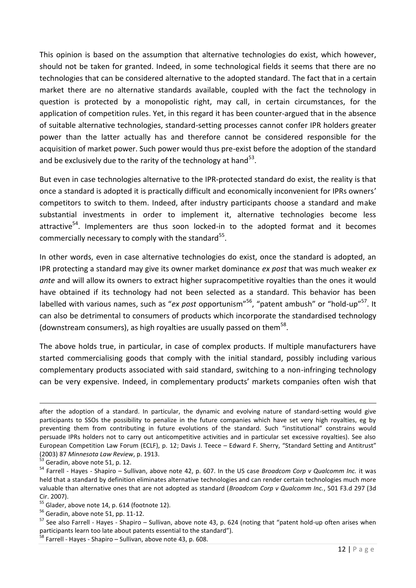This opinion is based on the assumption that alternative technologies do exist, which however, should not be taken for granted. Indeed, in some technological fields it seems that there are no technologies that can be considered alternative to the adopted standard. The fact that in a certain market there are no alternative standards available, coupled with the fact the technology in question is protected by a monopolistic right, may call, in certain circumstances, for the application of competition rules. Yet, in this regard it has been counter-argued that in the absence of suitable alternative technologies, standard-setting processes cannot confer IPR holders greater power than the latter actually has and therefore cannot be considered responsible for the acquisition of market power. Such power would thus pre-exist before the adoption of the standard and be exclusively due to the rarity of the technology at hand $^{53}$ .

But even in case technologies alternative to the IPR-protected standard do exist, the reality is that once a standard is adopted it is practically difficult and economically inconvenient for IPRs owners' competitors to switch to them. Indeed, after industry participants choose a standard and make substantial investments in order to implement it, alternative technologies become less attractive<sup>54</sup>. Implementers are thus soon locked-in to the adopted format and it becomes commercially necessary to comply with the standard<sup>55</sup>.

In other words, even in case alternative technologies do exist, once the standard is adopted, an IPR protecting a standard may give its owner market dominance *ex post* that was much weaker *ex ante* and will allow its owners to extract higher supracompetitive royalties than the ones it would have obtained if its technology had not been selected as a standard. This behavior has been labelled with various names, such as "*ex post* opportunism"<sup>56</sup>, "patent ambush" or "hold-up"<sup>57</sup>. It can also be detrimental to consumers of products which incorporate the standardised technology (downstream consumers), as high royalties are usually passed on them $^{58}$ .

The above holds true, in particular, in case of complex products. If multiple manufacturers have started commercialising goods that comply with the initial standard, possibly including various complementary products associated with said standard, switching to a non-infringing technology can be very expensive. Indeed, in complementary products' markets companies often wish that

after the adoption of a standard. In particular, the dynamic and evolving nature of standard-setting would give participants to SSOs the possibility to penalize in the future companies which have set very high royalties, eg by preventing them from contributing in future evolutions of the standard. Such "institutional" constrains would persuade IPRs holders not to carry out anticompetitive activities and in particular set excessive royalties). See also European Competition Law Forum (ECLF), p. 12; Davis J. Teece – Edward F. Sherry, "Standard Setting and Antitrust" (2003) 87 *Minnesota Law Review*, p. 1913.

Geradin, above note 51, p. 12.

<sup>54</sup> Farrell - Hayes - Shapiro – Sullivan, above note 42, p. 607. In the US case *Broadcom Corp v Qualcomm Inc.* it was held that a standard by definition eliminates alternative technologies and can render certain technologies much more valuable than alternative ones that are not adopted as standard (*Broadcom Corp v Qualcomm Inc.*, 501 F3.d 297 (3d Cir. 2007).

 $55$  Glader, above note 14, p. 614 (footnote 12).

 $56$  Geradin, above note 51, pp. 11-12.

 $57$  See also Farrell - Hayes - Shapiro – Sullivan, above note 43, p. 624 (noting that "patent hold-up often arises when participants learn too late about patents essential to the standard").

 $58$  Farrell - Hayes - Shapiro – Sullivan, above note 43, p. 608.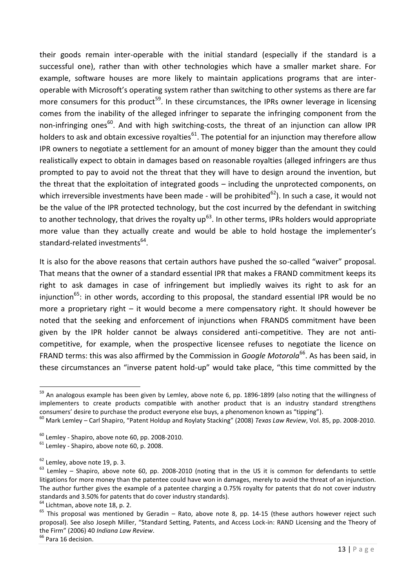their goods remain inter-operable with the initial standard (especially if the standard is a successful one), rather than with other technologies which have a smaller market share. For example, software houses are more likely to maintain applications programs that are interoperable with Microsoft's operating system rather than switching to other systems as there are far more consumers for this product<sup>59</sup>. In these circumstances, the IPRs owner leverage in licensing comes from the inability of the alleged infringer to separate the infringing component from the non-infringing ones<sup>60</sup>. And with high switching-costs, the threat of an injunction can allow IPR holders to ask and obtain excessive royalties<sup>61</sup>. The potential for an injunction may therefore allow IPR owners to negotiate a settlement for an amount of money bigger than the amount they could realistically expect to obtain in damages based on reasonable royalties (alleged infringers are thus prompted to pay to avoid not the threat that they will have to design around the invention, but the threat that the exploitation of integrated goods – including the unprotected components, on which irreversible investments have been made - will be prohibited<sup>62</sup>). In such a case, it would not be the value of the IPR protected technology, but the cost incurred by the defendant in switching to another technology, that drives the royalty up<sup>63</sup>. In other terms, IPRs holders would appropriate more value than they actually create and would be able to hold hostage the implementer's standard-related investments<sup>64</sup>.

It is also for the above reasons that certain authors have pushed the so-called "waiver" proposal. That means that the owner of a standard essential IPR that makes a FRAND commitment keeps its right to ask damages in case of infringement but impliedly waives its right to ask for an injunction<sup>65</sup>: in other words, according to this proposal, the standard essential IPR would be no more a proprietary right – it would become a mere compensatory right. It should however be noted that the seeking and enforcement of injunctions when FRANDS commitment have been given by the IPR holder cannot be always considered anti-competitive. They are not anticompetitive, for example, when the prospective licensee refuses to negotiate the licence on FRAND terms: this was also affirmed by the Commission in *Google Motorola*<sup>66</sup>. As has been said, in these circumstances an "inverse patent hold-up" would take place, "this time committed by the

<sup>1</sup> <sup>59</sup> An analogous example has been given by Lemley, above note 6, pp. 1896-1899 (also noting that the willingness of implementers to create products compatible with another product that is an industry standard strengthens consumers' desire to purchase the product everyone else buys, a phenomenon known as "tipping").

<sup>60</sup> Mark Lemley – Carl Shapiro, "Patent Holdup and Roylaty Stacking" (2008) *Texas Law Review*, Vol. 85, pp. 2008-2010.

 $^{60}$  Lemley - Shapiro, above note 60, pp. 2008-2010.

 $61$  Lemley - Shapiro, above note 60, p. 2008.

 $62$  Lemley, above note 19, p. 3.

 $\frac{1}{63}$  Lemley – Shapiro, above note 60, pp. 2008-2010 (noting that in the US it is common for defendants to settle litigations for more money than the patentee could have won in damages, merely to avoid the threat of an injunction. The author further gives the example of a patentee charging a 0.75% royalty for patents that do not cover industry standards and 3.50% for patents that do cover industry standards).

<sup>&</sup>lt;sup>64</sup> Lichtman, above note 18, p. 2.

 $65$  This proposal was mentioned by Geradin – Rato, above note 8, pp. 14-15 (these authors however reject such proposal). See also Joseph Miller, "Standard Setting, Patents, and Access Lock-in: RAND Licensing and the Theory of the Firm" (2006) 40 *Indiana Law Review*.

<sup>&</sup>lt;sup>66</sup> Para 16 decision.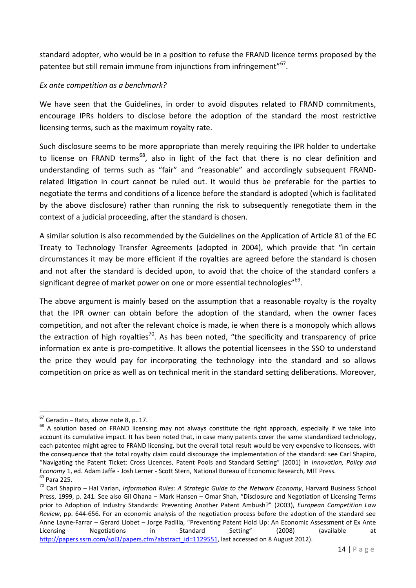standard adopter, who would be in a position to refuse the FRAND licence terms proposed by the patentee but still remain immune from injunctions from infringement"<sup>67</sup>.

### *Ex ante competition as a benchmark?*

We have seen that the Guidelines, in order to avoid disputes related to FRAND commitments, encourage IPRs holders to disclose before the adoption of the standard the most restrictive licensing terms, such as the maximum royalty rate.

Such disclosure seems to be more appropriate than merely requiring the IPR holder to undertake to license on FRAND terms<sup>68</sup>, also in light of the fact that there is no clear definition and understanding of terms such as "fair" and "reasonable" and accordingly subsequent FRANDrelated litigation in court cannot be ruled out. It would thus be preferable for the parties to negotiate the terms and conditions of a licence before the standard is adopted (which is facilitated by the above disclosure) rather than running the risk to subsequently renegotiate them in the context of a judicial proceeding, after the standard is chosen.

A similar solution is also recommended by the Guidelines on the Application of Article 81 of the EC Treaty to Technology Transfer Agreements (adopted in 2004), which provide that "in certain circumstances it may be more efficient if the royalties are agreed before the standard is chosen and not after the standard is decided upon, to avoid that the choice of the standard confers a significant degree of market power on one or more essential technologies"<sup>69</sup>.

The above argument is mainly based on the assumption that a reasonable royalty is the royalty that the IPR owner can obtain before the adoption of the standard, when the owner faces competition, and not after the relevant choice is made, ie when there is a monopoly which allows the extraction of high royalties<sup>70</sup>. As has been noted, "the specificity and transparency of price information ex ante is pro-competitive. It allows the potential licensees in the SSO to understand the price they would pay for incorporating the technology into the standard and so allows competition on price as well as on technical merit in the standard setting deliberations. Moreover,

 $67$  Geradin – Rato, above note 8, p. 17.

<sup>&</sup>lt;sup>68</sup> A solution based on FRAND licensing may not always constitute the right approach, especially if we take into account its cumulative impact. It has been noted that, in case many patents cover the same standardized technology, each patentee might agree to FRAND licensing, but the overall total result would be very expensive to licensees, with the consequence that the total royalty claim could discourage the implementation of the standard: see Carl Shapiro, "Navigating the Patent Ticket: Cross Licences, Patent Pools and Standard Setting" (2001) in *Innovation, Policy and Economy* 1, ed. Adam Jaffe - Josh Lerner - Scott Stern, National Bureau of Economic Research, MIT Press.  $69$  Para 225.

<sup>70</sup> Carl Shapiro – Hal Varian, *Information Rules: A Strategic Guide to the Network Economy*, Harvard Business School Press, 1999, p. 241. See also Gil Ohana – Mark Hansen – Omar Shah, "Disclosure and Negotiation of Licensing Terms prior to Adoption of Industry Standards: Preventing Another Patent Ambush?" (2003), *European Competition Law Review*, pp. 644-656. For an economic analysis of the negotiation process before the adoption of the standard see Anne Layne-Farrar – Gerard Llobet – Jorge Padilla, "Preventing Patent Hold Up: An Economic Assessment of Ex Ante Licensing Negotiations in Standard Setting" (2008) (available at [http://papers.ssrn.com/sol3/papers.cfm?abstract\\_id=1129551,](http://papers.ssrn.com/sol3/papers.cfm?abstract_id=1129551) last accessed on 8 August 2012).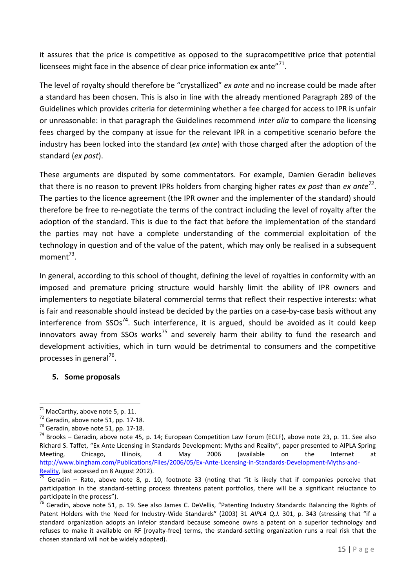it assures that the price is competitive as opposed to the supracompetitive price that potential licensees might face in the absence of clear price information ex ante" $^{71}$ .

The level of royalty should therefore be "crystallized" *ex ante* and no increase could be made after a standard has been chosen. This is also in line with the already mentioned Paragraph 289 of the Guidelines which provides criteria for determining whether a fee charged for access to IPR is unfair or unreasonable: in that paragraph the Guidelines recommend *inter alia* to compare the licensing fees charged by the company at issue for the relevant IPR in a competitive scenario before the industry has been locked into the standard (*ex ante*) with those charged after the adoption of the standard (*ex post*).

These arguments are disputed by some commentators. For example, Damien Geradin believes that there is no reason to prevent IPRs holders from charging higher rates *ex post* than *ex ante<sup>72</sup>* . The parties to the licence agreement (the IPR owner and the implementer of the standard) should therefore be free to re-negotiate the terms of the contract including the level of royalty after the adoption of the standard. This is due to the fact that before the implementation of the standard the parties may not have a complete understanding of the commercial exploitation of the technology in question and of the value of the patent, which may only be realised in a subsequent moment<sup>73</sup>.

In general, according to this school of thought, defining the level of royalties in conformity with an imposed and premature pricing structure would harshly limit the ability of IPR owners and implementers to negotiate bilateral commercial terms that reflect their respective interests: what is fair and reasonable should instead be decided by the parties on a case-by-case basis without any interference from  $SSOs^{74}$ . Such interference, it is argued, should be avoided as it could keep innovators away from SSOs works<sup>75</sup> and severely harm their ability to fund the research and development activities, which in turn would be detrimental to consumers and the competitive processes in general<sup>76</sup>.

# **5. Some proposals**

<sup>1</sup>  $71$  MacCarthy, above note 5, p. 11.

 $\frac{1}{2}$  Geradin, above note 51, pp. 17-18.

 $^{73}$  Geradin, above note 51, pp. 17-18.

 $74$  Brooks – Geradin, above note 45, p. 14; European Competition Law Forum (ECLF), above note 23, p. 11. See also Richard S. Taffet, "Ex Ante Licensing in Standards Development: Myths and Reality", paper presented to AIPLA Spring Meeting, Chicago, Illinois, 4 May 2006 (available on the Internet at [http://www.bingham.com/Publications/Files/2006/05/Ex-Ante-Licensing-in-Standards-Development-Myths-and-](http://www.bingham.com/Publications/Files/2006/05/Ex-Ante-Licensing-in-Standards-Development-Myths-and-Reality)[Reality,](http://www.bingham.com/Publications/Files/2006/05/Ex-Ante-Licensing-in-Standards-Development-Myths-and-Reality) last accessed on 8 August 2012).

 $\frac{75}{75}$  Geradin – Rato, above note 8, p. 10, footnote 33 (noting that "it is likely that if companies perceive that participation in the standard-setting process threatens patent portfolios, there will be a significant reluctance to participate in the process").

<sup>&</sup>lt;sup>76</sup> Geradin, above note 51, p. 19. See also James C. DeVellis, "Patenting Industry Standards: Balancing the Rights of Patent Holders with the Need for Industry-Wide Standards" (2003) 31 *AIPLA Q.J.* 301, p. 343 (stressing that "if a standard organization adopts an infeior standard because someone owns a patent on a superior technology and refuses to make it available on RF [royalty-free] terms, the standard-setting organization runs a real risk that the chosen standard will not be widely adopted).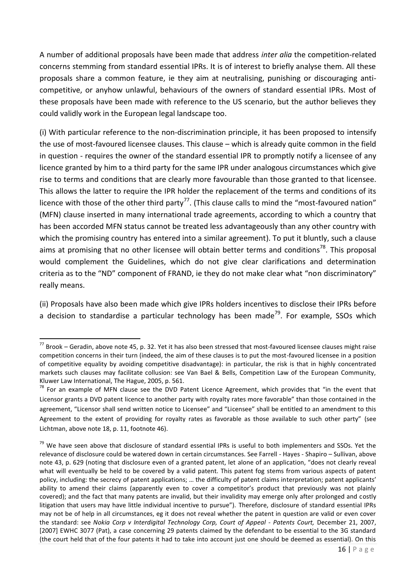A number of additional proposals have been made that address *inter alia* the competition-related concerns stemming from standard essential IPRs. It is of interest to briefly analyse them. All these proposals share a common feature, ie they aim at neutralising, punishing or discouraging anticompetitive, or anyhow unlawful, behaviours of the owners of standard essential IPRs. Most of these proposals have been made with reference to the US scenario, but the author believes they could validly work in the European legal landscape too.

(i) With particular reference to the non-discrimination principle, it has been proposed to intensify the use of most-favoured licensee clauses. This clause – which is already quite common in the field in question - requires the owner of the standard essential IPR to promptly notify a licensee of any licence granted by him to a third party for the same IPR under analogous circumstances which give rise to terms and conditions that are clearly more favourable than those granted to that licensee. This allows the latter to require the IPR holder the replacement of the terms and conditions of its licence with those of the other third party<sup>77</sup>. (This clause calls to mind the "most-favoured nation" (MFN) clause inserted in many international trade agreements, according to which a country that has been accorded MFN status cannot be treated less advantageously than any other country with which the promising country has entered into a similar agreement). To put it bluntly, such a clause aims at promising that no other licensee will obtain better terms and conditions<sup>78</sup>. This proposal would complement the Guidelines, which do not give clear clarifications and determination criteria as to the "ND" component of FRAND, ie they do not make clear what "non discriminatory" really means.

(ii) Proposals have also been made which give IPRs holders incentives to disclose their IPRs before a decision to standardise a particular technology has been made<sup>79</sup>. For example, SSOs which

 $77$  Brook – Geradin, above note 45, p. 32. Yet it has also been stressed that most-favoured licensee clauses might raise competition concerns in their turn (indeed, the aim of these clauses is to put the most-favoured licensee in a position of competitive equality by avoiding competitive disadvantage): in particular, the risk is that in highly concentrated markets such clauses may facilitate collusion: see Van Bael & Bells, Competition Law of the European Community, Kluwer Law International, The Hague, 2005, p. 561.

 $78$  For an example of MFN clause see the DVD Patent Licence Agreement, which provides that "in the event that Licensor grants a DVD patent licence to another party with royalty rates more favorable" than those contained in the agreement, "Licensor shall send written notice to Licensee" and "Licensee" shall be entitled to an amendment to this Agreement to the extent of providing for royalty rates as favorable as those available to such other party" (see Lichtman, above note 18, p. 11, footnote 46).

<sup>&</sup>lt;sup>79</sup> We have seen above that disclosure of standard essential IPRs is useful to both implementers and SSOs. Yet the relevance of disclosure could be watered down in certain circumstances. See Farrell - Hayes - Shapiro – Sullivan, above note 43, p. 629 (noting that disclosure even of a granted patent, let alone of an application, "does not clearly reveal what will eventually be held to be covered by a valid patent. This patent fog stems from various aspects of patent policy, including: the secrecy of patent applications; … the difficulty of patent claims interpretation; patent applicants' ability to amend their claims (apparently even to cover a competitor's product that previously was not plainly covered); and the fact that many patents are invalid, but their invalidity may emerge only after prolonged and costly litigation that users may have little individual incentive to pursue"). Therefore, disclosure of standard essential IPRs may not be of help in all circumstances, eg it does not reveal whether the patent in question are valid or even cover the standard: see *Nokia Corp v Interdigital Technology Corp, Court of Appeal - Patents Court,* December 21, 2007, [2007] EWHC 3077 (Pat), a case concerning 29 patents claimed by the defendant to be essential to the 3G standard (the court held that of the four patents it had to take into account just one should be deemed as essential). On this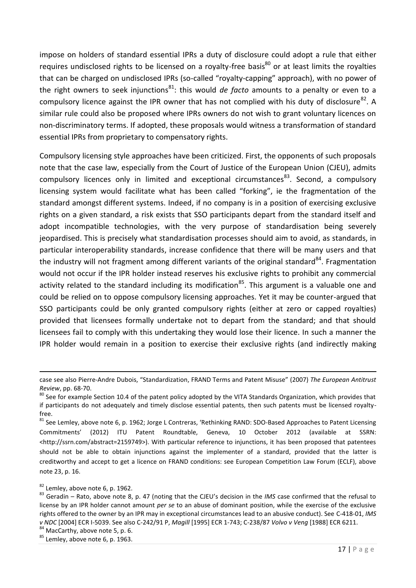impose on holders of standard essential IPRs a duty of disclosure could adopt a rule that either requires undisclosed rights to be licensed on a royalty-free basis $^{80}$  or at least limits the royalties that can be charged on undisclosed IPRs (so-called "royalty-capping" approach), with no power of the right owners to seek injunctions<sup>81</sup>: this would *de facto* amounts to a penalty or even to a compulsory licence against the IPR owner that has not complied with his duty of disclosure<sup>82</sup>. A similar rule could also be proposed where IPRs owners do not wish to grant voluntary licences on non-discriminatory terms. If adopted, these proposals would witness a transformation of standard essential IPRs from proprietary to compensatory rights.

Compulsory licensing style approaches have been criticized. First, the opponents of such proposals note that the case law, especially from the Court of Justice of the European Union (CJEU), admits compulsory licences only in limited and exceptional circumstances<sup>83</sup>. Second, a compulsory licensing system would facilitate what has been called "forking", ie the fragmentation of the standard amongst different systems. Indeed, if no company is in a position of exercising exclusive rights on a given standard, a risk exists that SSO participants depart from the standard itself and adopt incompatible technologies, with the very purpose of standardisation being severely jeopardised. This is precisely what standardisation processes should aim to avoid, as standards, in particular interoperability standards, increase confidence that there will be many users and that the industry will not fragment among different variants of the original standard<sup>84</sup>. Fragmentation would not occur if the IPR holder instead reserves his exclusive rights to prohibit any commercial activity related to the standard including its modification<sup>85</sup>. This argument is a valuable one and could be relied on to oppose compulsory licensing approaches. Yet it may be counter-argued that SSO participants could be only granted compulsory rights (either at zero or capped royalties) provided that licensees formally undertake not to depart from the standard; and that should licensees fail to comply with this undertaking they would lose their licence. In such a manner the IPR holder would remain in a position to exercise their exclusive rights (and indirectly making

1

84 MacCarthy, above note 5, p. 6.

case see also Pierre-Andre Dubois, "Standardization, FRAND Terms and Patent Misuse" (2007) *The European Antitrust Review*, pp. 68-70.

<sup>&</sup>lt;sup>80</sup> See for example Section 10.4 of the patent policy adopted by the VITA Standards Organization, which provides that if participants do not adequately and timely disclose essential patents, then such patents must be licensed royaltyfree.

<sup>&</sup>lt;sup>81</sup> See Lemley, above note 6, p. 1962; Jorge L Contreras, 'Rethinking RAND: SDO-Based Approaches to Patent Licensing Commitments' (2012) ITU Patent Roundtable, Geneva, 10 October 2012 (available at SSRN: <http://ssrn.com/abstract=2159749>). With particular reference to injunctions, it has been proposed that patentees should not be able to obtain injunctions against the implementer of a standard, provided that the latter is creditworthy and accept to get a licence on FRAND conditions: see European Competition Law Forum (ECLF), above note 23, p. 16.

 $82$  Lemley, above note 6, p. 1962.

<sup>83</sup> Geradin – Rato, above note 8, p. 47 (noting that the CJEU's decision in the *IMS* case confirmed that the refusal to license by an IPR holder cannot amount *per se* to an abuse of dominant position, while the exercise of the exclusive rights offered to the owner by an IPR may in exceptional circumstances lead to an abusive conduct). See C-418-01, *IMS v NDC* [2004] ECR I-5039. See also C-242/91 P, *Magill* [1995] ECR 1-743; C-238/87 *Volvo v Veng* [1988] ECR 6211.

 $85$  Lemley, above note 6, p. 1963.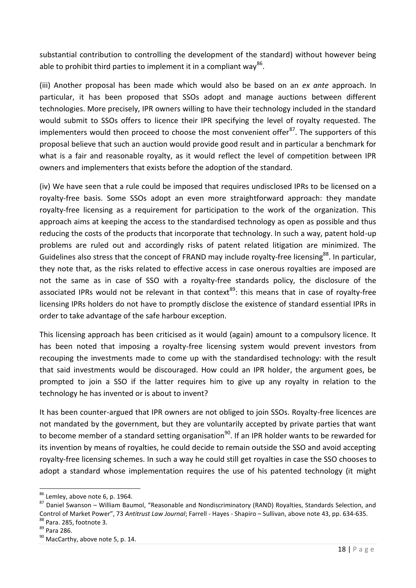substantial contribution to controlling the development of the standard) without however being able to prohibit third parties to implement it in a compliant way<sup>86</sup>.

(iii) Another proposal has been made which would also be based on an *ex ante* approach. In particular, it has been proposed that SSOs adopt and manage auctions between different technologies. More precisely, IPR owners willing to have their technology included in the standard would submit to SSOs offers to licence their IPR specifying the level of royalty requested. The implementers would then proceed to choose the most convenient offer $^{87}$ . The supporters of this proposal believe that such an auction would provide good result and in particular a benchmark for what is a fair and reasonable royalty, as it would reflect the level of competition between IPR owners and implementers that exists before the adoption of the standard.

(iv) We have seen that a rule could be imposed that requires undisclosed IPRs to be licensed on a royalty-free basis. Some SSOs adopt an even more straightforward approach: they mandate royalty-free licensing as a requirement for participation to the work of the organization. This approach aims at keeping the access to the standardised technology as open as possible and thus reducing the costs of the products that incorporate that technology. In such a way, patent hold-up problems are ruled out and accordingly risks of patent related litigation are minimized. The Guidelines also stress that the concept of FRAND may include royalty-free licensing<sup>88</sup>. In particular, they note that, as the risks related to effective access in case onerous royalties are imposed are not the same as in case of SSO with a royalty-free standards policy, the disclosure of the associated IPRs would not be relevant in that context<sup>89</sup>: this means that in case of royalty-free licensing IPRs holders do not have to promptly disclose the existence of standard essential IPRs in order to take advantage of the safe harbour exception.

This licensing approach has been criticised as it would (again) amount to a compulsory licence. It has been noted that imposing a royalty-free licensing system would prevent investors from recouping the investments made to come up with the standardised technology: with the result that said investments would be discouraged. How could an IPR holder, the argument goes, be prompted to join a SSO if the latter requires him to give up any royalty in relation to the technology he has invented or is about to invent?

It has been counter-argued that IPR owners are not obliged to join SSOs. Royalty-free licences are not mandated by the government, but they are voluntarily accepted by private parties that want to become member of a standard setting organisation<sup>90</sup>. If an IPR holder wants to be rewarded for its invention by means of royalties, he could decide to remain outside the SSO and avoid accepting royalty-free licensing schemes. In such a way he could still get royalties in case the SSO chooses to adopt a standard whose implementation requires the use of his patented technology (it might

 $86$  Lemley, above note 6, p. 1964.

<sup>87</sup> Daniel Swanson – William Baumol, "Reasonable and Nondiscriminatory (RAND) Royalties, Standards Selection, and Control of Market Power", 73 *Antitrust Law Journal*; Farrell - Hayes - Shapiro – Sullivan, above note 43, pp. 634-635. <sup>88</sup> Para. 285, footnote 3.

<sup>89</sup> Para 286.

<sup>&</sup>lt;sup>90</sup> MacCarthy, above note 5, p. 14.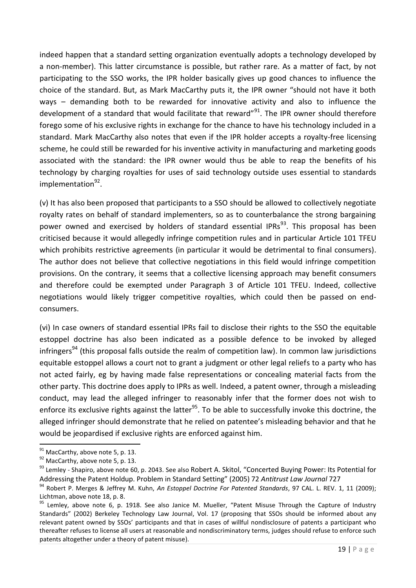indeed happen that a standard setting organization eventually adopts a technology developed by a non-member). This latter circumstance is possible, but rather rare. As a matter of fact, by not participating to the SSO works, the IPR holder basically gives up good chances to influence the choice of the standard. But, as Mark MacCarthy puts it, the IPR owner "should not have it both ways – demanding both to be rewarded for innovative activity and also to influence the development of a standard that would facilitate that reward"<sup>91</sup>. The IPR owner should therefore forego some of his exclusive rights in exchange for the chance to have his technology included in a standard. Mark MacCarthy also notes that even if the IPR holder accepts a royalty-free licensing scheme, he could still be rewarded for his inventive activity in manufacturing and marketing goods associated with the standard: the IPR owner would thus be able to reap the benefits of his technology by charging royalties for uses of said technology outside uses essential to standards implementation<sup>92</sup>.

(v) It has also been proposed that participants to a SSO should be allowed to collectively negotiate royalty rates on behalf of standard implementers, so as to counterbalance the strong bargaining power owned and exercised by holders of standard essential IPRs<sup>93</sup>. This proposal has been criticised because it would allegedly infringe competition rules and in particular Article 101 TFEU which prohibits restrictive agreements (in particular it would be detrimental to final consumers). The author does not believe that collective negotiations in this field would infringe competition provisions. On the contrary, it seems that a collective licensing approach may benefit consumers and therefore could be exempted under Paragraph 3 of Article 101 TFEU. Indeed, collective negotiations would likely trigger competitive royalties, which could then be passed on endconsumers.

(vi) In case owners of standard essential IPRs fail to disclose their rights to the SSO the equitable estoppel doctrine has also been indicated as a possible defence to be invoked by alleged infringers<sup>94</sup> (this proposal falls outside the realm of competition law). In common law jurisdictions equitable estoppel allows a court not to grant a judgment or other legal reliefs to a party who has not acted fairly, eg by having made false representations or concealing material facts from the other party. This doctrine does apply to IPRs as well. Indeed, a patent owner, through a misleading conduct, may lead the alleged infringer to reasonably infer that the former does not wish to enforce its exclusive rights against the latter<sup>95</sup>. To be able to successfully invoke this doctrine, the alleged infringer should demonstrate that he relied on patentee's misleading behavior and that he would be jeopardised if exclusive rights are enforced against him.

 $\overline{a}$  $91$  MacCarthy, above note 5, p. 13.

<sup>&</sup>lt;sup>92</sup> MacCarthy, above note 5, p. 13.

<sup>&</sup>lt;sup>93</sup> Lemley - Shapiro, above note 60, p. 2043. See also Robert A. Skitol, "Concerted Buying Power: Its Potential for Addressing the Patent Holdup. Problem in Standard Setting" (2005) 72 *Antitrust Law Journal* 727

<sup>94</sup> Robert P. Merges & Jeffrey M. Kuhn, *An Estoppel Doctrine For Patented Standards*, 97 CAL. L. REV. 1, 11 (2009); Lichtman, above note 18, p. 8.

 $95$  Lemley, above note 6, p. 1918. See also Janice M. Mueller, "Patent Misuse Through the Capture of Industry Standards" (2002) Berkeley Technology Law Journal, Vol. 17 (proposing that SSOs should be informed about any relevant patent owned by SSOs' participants and that in cases of willful nondisclosure of patents a participant who thereafter refuses to license all users at reasonable and nondiscriminatory terms, judges should refuse to enforce such patents altogether under a theory of patent misuse).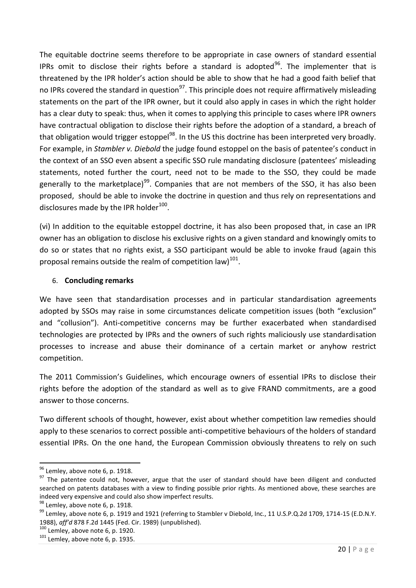The equitable doctrine seems therefore to be appropriate in case owners of standard essential IPRs omit to disclose their rights before a standard is adopted<sup>96</sup>. The implementer that is threatened by the IPR holder's action should be able to show that he had a good faith belief that no IPRs covered the standard in question<sup>97</sup>. This principle does not require affirmatively misleading statements on the part of the IPR owner, but it could also apply in cases in which the right holder has a clear duty to speak: thus, when it comes to applying this principle to cases where IPR owners have contractual obligation to disclose their rights before the adoption of a standard, a breach of that obligation would trigger estoppel<sup>98</sup>. In the US this doctrine has been interpreted very broadly. For example, in *Stambler v. Diebold* the judge found estoppel on the basis of patentee's conduct in the context of an SSO even absent a specific SSO rule mandating disclosure (patentees' misleading statements, noted further the court, need not to be made to the SSO, they could be made generally to the marketplace)<sup>99</sup>. Companies that are not members of the SSO, it has also been proposed, should be able to invoke the doctrine in question and thus rely on representations and disclosures made by the IPR holder<sup>100</sup>.

(vi) In addition to the equitable estoppel doctrine, it has also been proposed that, in case an IPR owner has an obligation to disclose his exclusive rights on a given standard and knowingly omits to do so or states that no rights exist, a SSO participant would be able to invoke fraud (again this proposal remains outside the realm of competition law)<sup>101</sup>.

# 6. **Concluding remarks**

We have seen that standardisation processes and in particular standardisation agreements adopted by SSOs may raise in some circumstances delicate competition issues (both "exclusion" and "collusion"). Anti-competitive concerns may be further exacerbated when standardised technologies are protected by IPRs and the owners of such rights maliciously use standardisation processes to increase and abuse their dominance of a certain market or anyhow restrict competition.

The 2011 Commission's Guidelines, which encourage owners of essential IPRs to disclose their rights before the adoption of the standard as well as to give FRAND commitments, are a good answer to those concerns.

Two different schools of thought, however, exist about whether competition law remedies should apply to these scenarios to correct possible anti-competitive behaviours of the holders of standard essential IPRs. On the one hand, the European Commission obviously threatens to rely on such

 $96$  Lemley, above note 6, p. 1918.

<sup>&</sup>lt;sup>97</sup> The patentee could not, however, argue that the user of standard should have been diligent and conducted searched on patents databases with a view to finding possible prior rights. As mentioned above, these searches are indeed very expensive and could also show imperfect results.

 $98$  Lemley, above note 6, p. 1918.

<sup>99</sup> Lemlev, above note 6, p. 1919 and 1921 (referring to Stambler v Diebold, Inc., 11 U.S.P.Q.2d 1709, 1714-15 (E.D.N.Y. 1988), *aff'd* 878 F.2d 1445 (Fed. Cir. 1989) (unpublished).

 $100$  Lemley, above note 6, p. 1920.

 $101$  Lemley, above note 6, p. 1935.